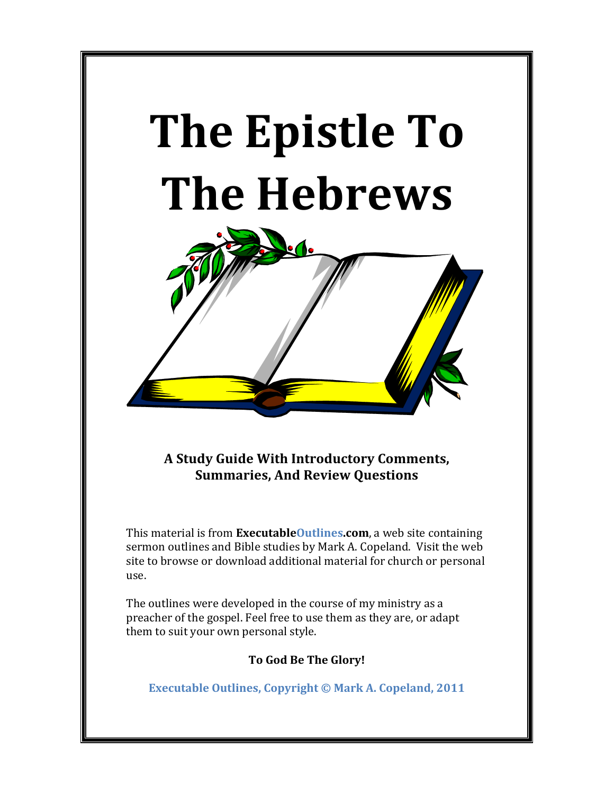

**A Study Guide With Introductory Comments, Summaries, And Review Ouestions** 

This material is from **ExecutableOutlines.com**, a web site containing sermon outlines and Bible studies by Mark A. Copeland. Visit the web site to browse or download additional material for church or personal use.

The outlines were developed in the course of my ministry as a preacher of the gospel. Feel free to use them as they are, or adapt them to suit your own personal style.

**To God Be The Glory!**

**Executable Outlines, Copyright © Mark A. Copeland, 2011**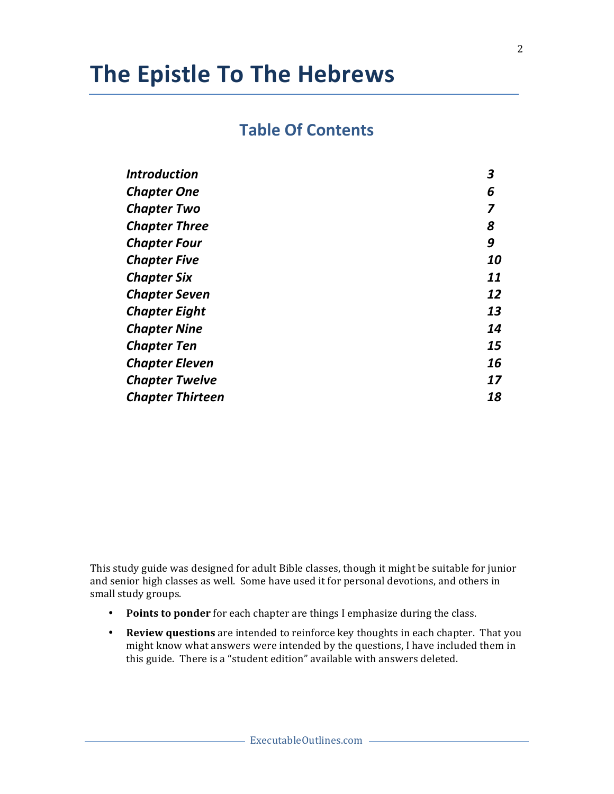## **Table Of Contents**

| <b>Introduction</b>     | 3  |
|-------------------------|----|
| <b>Chapter One</b>      | 6  |
| <b>Chapter Two</b>      |    |
| <b>Chapter Three</b>    | 8  |
| <b>Chapter Four</b>     | 9  |
| <b>Chapter Five</b>     | 10 |
| <b>Chapter Six</b>      | 11 |
| <b>Chapter Seven</b>    | 12 |
| <b>Chapter Eight</b>    | 13 |
| <b>Chapter Nine</b>     | 14 |
| <b>Chapter Ten</b>      | 15 |
| <b>Chapter Eleven</b>   | 16 |
| <b>Chapter Twelve</b>   | 17 |
| <b>Chapter Thirteen</b> | 18 |

This study guide was designed for adult Bible classes, though it might be suitable for junior and senior high classes as well. Some have used it for personal devotions, and others in small study groups.

- Points to ponder for each chapter are things I emphasize during the class.
- Review questions are intended to reinforce key thoughts in each chapter. That you might know what answers were intended by the questions, I have included them in this guide. There is a "student edition" available with answers deleted.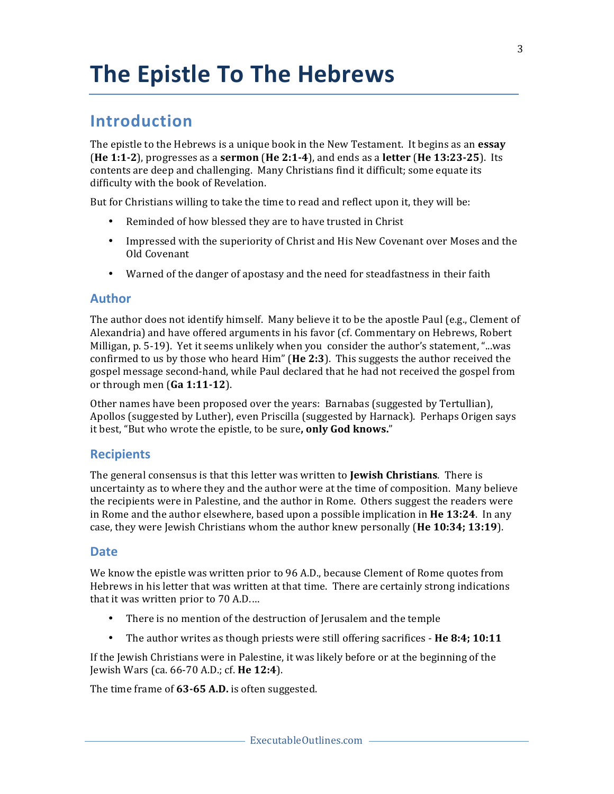## **Introduction**

The epistle to the Hebrews is a unique book in the New Testament. It begins as an **essay (He 1:1-2**), progresses as a **sermon** (**He 2:1-4**), and ends as a **letter** (**He 13:23-25**). Its contents are deep and challenging. Many Christians find it difficult; some equate its difficulty with the book of Revelation.

But for Christians willing to take the time to read and reflect upon it, they will be:

- Reminded of how blessed they are to have trusted in Christ
- Impressed with the superiority of Christ and His New Covenant over Moses and the Old Covenant
- Warned of the danger of apostasy and the need for steadfastness in their faith

## **Author**

The author does not identify himself. Many believe it to be the apostle Paul  $(e.g.,$  Clement of Alexandria) and have offered arguments in his favor (cf. Commentary on Hebrews, Robert Milligan,  $p. 5-19$ . Yet it seems unlikely when you consider the author's statement, "...was confirmed to us by those who heard Him" (He 2:3). This suggests the author received the gospel message second-hand, while Paul declared that he had not received the gospel from or through men (Ga 1:11-12).

Other names have been proposed over the years: Barnabas (suggested by Tertullian), Apollos (suggested by Luther), even Priscilla (suggested by Harnack). Perhaps Origen says it best, "But who wrote the epistle, to be sure, only God knows."

## **Recipients**

The general consensus is that this letter was written to **Jewish Christians**. There is uncertainty as to where they and the author were at the time of composition. Many believe the recipients were in Palestine, and the author in Rome. Others suggest the readers were in Rome and the author elsewhere, based upon a possible implication in **He 13:24**. In any case, they were Jewish Christians whom the author knew personally (**He 10:34; 13:19**).

## **Date**

We know the epistle was written prior to 96 A.D., because Clement of Rome quotes from Hebrews in his letter that was written at that time. There are certainly strong indications that it was written prior to  $70$  A.D....

- There is no mention of the destruction of Jerusalem and the temple
- The author writes as though priests were still offering sacrifices **He 8:4; 10:11**

If the Jewish Christians were in Palestine, it was likely before or at the beginning of the Jewish Wars (ca. 66-70 A.D.; cf. **He 12:4**). 

The time frame of 63-65 A.D. is often suggested.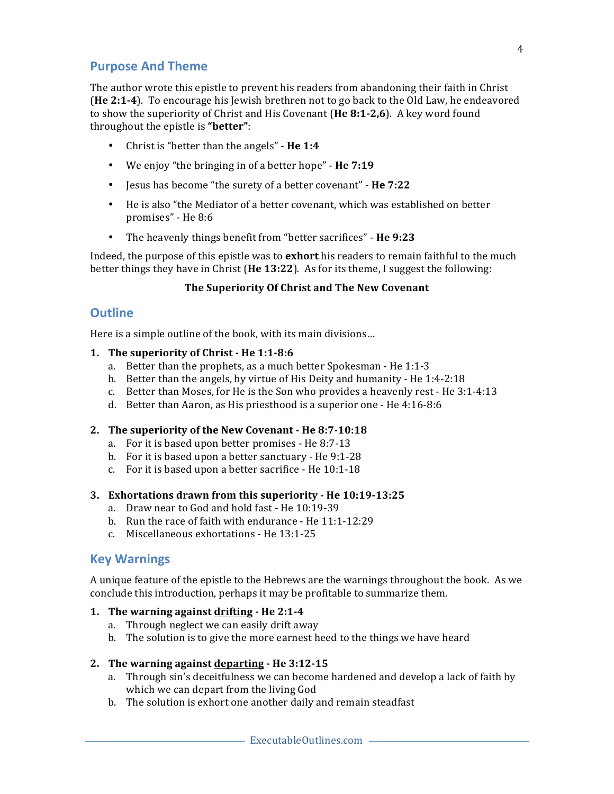## **Purpose And Theme**

The author wrote this epistle to prevent his readers from abandoning their faith in Christ (He 2:1-4). To encourage his Jewish brethren not to go back to the Old Law, he endeavored to show the superiority of Christ and His Covenant (He 8:1-2,6). A key word found throughout the epistle is "**better**":

- Christ is "better than the angels" **He 1:4**
- We enjoy "the bringing in of a better hope" He 7:19
- Jesus has become "the surety of a better covenant" **He 7:22**
- He is also "the Mediator of a better covenant, which was established on better promises" - He 8:6
- The heavenly things benefit from "better sacrifices" He 9:23

Indeed, the purpose of this epistle was to **exhort** his readers to remain faithful to the much better things they have in Christ (**He 13:22**). As for its theme, I suggest the following:

## **The Superiority Of Christ and The New Covenant**

## **Outline**

Here is a simple outline of the book, with its main divisions...

## **1.** The superiority of Christ - He 1:1-8:6

- a. Better than the prophets, as a much better Spokesman He  $1:1-3$
- b. Better than the angels, by virtue of His Deity and humanity He  $1:4-2:18$
- c. Better than Moses, for He is the Son who provides a heavenly rest He  $3:1-4:13$
- d. Better than Aaron, as His priesthood is a superior one He 4:16-8:6

## 2. The superiority of the New Covenant - He 8:7-10:18

- a. For it is based upon better promises He 8:7-13
- b. For it is based upon a better sanctuary  $-$  He 9:1-28
- c. For it is based upon a better sacrifice He  $10:1-18$

## **3. Exhortations drawn from this superiority - He 10:19-13:25**

- a. Draw near to God and hold fast He 10:19-39
- b. Run the race of faith with endurance He  $11:1-12:29$
- c. Miscellaneous exhortations He 13:1-25

## **Key Warnings**

A unique feature of the epistle to the Hebrews are the warnings throughout the book. As we conclude this introduction, perhaps it may be profitable to summarize them.

## **1.** The warning against drifting - He 2:1-4

- a. Through neglect we can easily drift away
- b. The solution is to give the more earnest heed to the things we have heard

## **2.** The warning against departing - He 3:12-15

- a. Through sin's deceitfulness we can become hardened and develop a lack of faith by which we can depart from the living God
- b. The solution is exhort one another daily and remain steadfast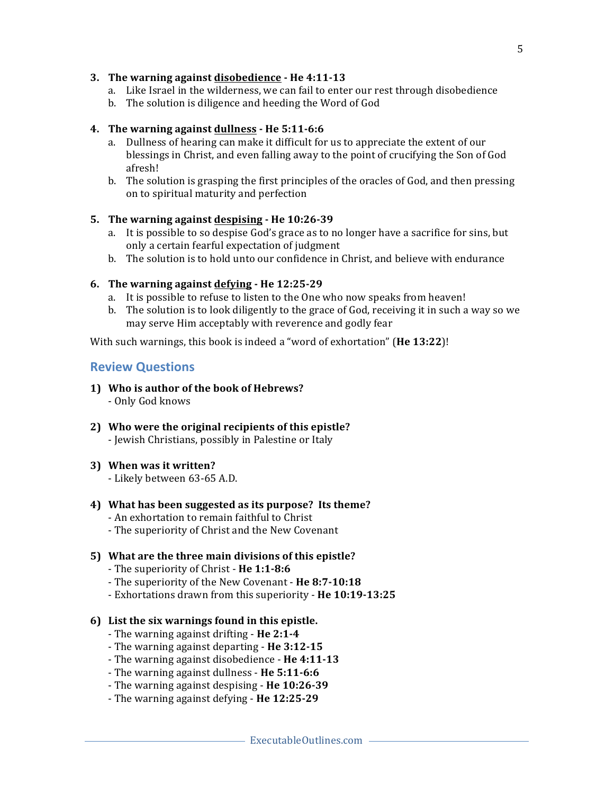#### **3.** The warning against disobedience - He 4:11-13

- a. Like Israel in the wilderness, we can fail to enter our rest through disobedience
- b. The solution is diligence and heeding the Word of God

#### **4. The warning against dullness - He 5:11-6:6**

- a. Dullness of hearing can make it difficult for us to appreciate the extent of our blessings in Christ, and even falling away to the point of crucifying the Son of God afresh!
- b. The solution is grasping the first principles of the oracles of God, and then pressing on to spiritual maturity and perfection

## **5.** The warning against despising - He 10:26-39

- a. It is possible to so despise God's grace as to no longer have a sacrifice for sins, but only a certain fearful expectation of judgment
- b. The solution is to hold unto our confidence in Christ, and believe with endurance

## **6. The warning against defying - He 12:25-29**

- a. It is possible to refuse to listen to the One who now speaks from heaven!
- b. The solution is to look diligently to the grace of God, receiving it in such a way so we may serve Him acceptably with reverence and godly fear

With such warnings, this book is indeed a "word of exhortation" (He 13:22)!

## **Review Questions**

- 1) Who is author of the book of Hebrews? - Only God knows
- 2) Who were the original recipients of this epistle? - Jewish Christians, possibly in Palestine or Italy
- **3) When was it written?**

- Likely between 63-65 A.D.

- **4)** What has been suggested as its purpose? Its theme?
	- An exhortation to remain faithful to Christ
	- The superiority of Christ and the New Covenant

## **5)** What are the three main divisions of this epistle?

- The superiority of Christ He 1:1-8:6
- The superiority of the New Covenant He 8:7-10:18
- Exhortations drawn from this superiority He 10:19-13:25
- **6)** List the six warnings found in this epistle.
	- The warning against drifting He 2:1-4
	- The warning against departing He 3:12-15
	- The warning against disobedience **He 4:11-13**
	- The warning against dullness He 5:11-6:6
	- The warning against despising **He 10:26-39**
	- The warning against defying **He 12:25-29**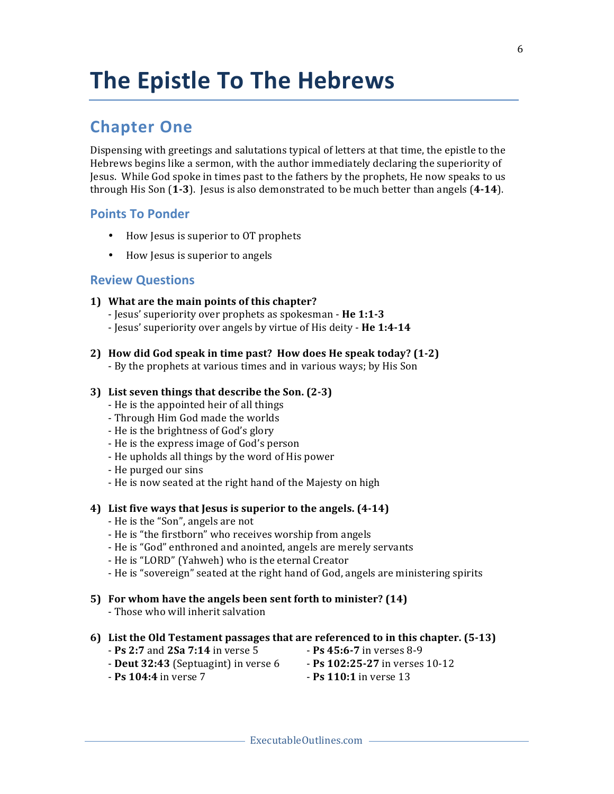## **Chapter One**

Dispensing with greetings and salutations typical of letters at that time, the epistle to the Hebrews begins like a sermon, with the author immediately declaring the superiority of Jesus. While God spoke in times past to the fathers by the prophets, He now speaks to us through His Son  $(1-3)$ . Jesus is also demonstrated to be much better than angels  $(4-14)$ .

## **Points To Ponder**

- How Jesus is superior to OT prophets
- How Jesus is superior to angels

## **Review Questions**

- **1)** What are the main points of this chapter?
	- Jesus' superiority over prophets as spokesman **He 1:1-3**
	- Jesus' superiority over angels by virtue of His deity - **He 1:4-14**
- **2)** How did God speak in time past? How does He speak today? (1-2) - By the prophets at various times and in various ways; by His Son

#### **3) List seven things that describe the Son. (2-3)**

- He is the appointed heir of all things
- Through Him God made the worlds
- He is the brightness of God's glory
- He is the express image of God's person
- He upholds all things by the word of His power
- He purged our sins
- He is now seated at the right hand of the Majesty on high

#### **4) List five ways that Jesus is superior to the angels. (4-14)**

- He is the "Son", angels are not
- He is "the firstborn" who receives worship from angels
- He is "God" enthroned and anointed, angels are merely servants
- He is "LORD" (Yahweh) who is the eternal Creator
- He is "sovereign" seated at the right hand of God, angels are ministering spirits

## **5)** For whom have the angels been sent forth to minister? (14)

- Those who will inherit salvation

## **6)** List the Old Testament passages that are referenced to in this chapter. (5-13)

- **Ps 2:7** and **2Sa 7:14** in verse 5  **Ps 45:6-7** in verses 8-9
	-
- **Deut 32:43** (Septuagint) in verse 6 **Ps 102:25-27** in verses 10-12
- 
- **Ps 104:4** in verse 7  **Ps 110:1** in verse 13
	-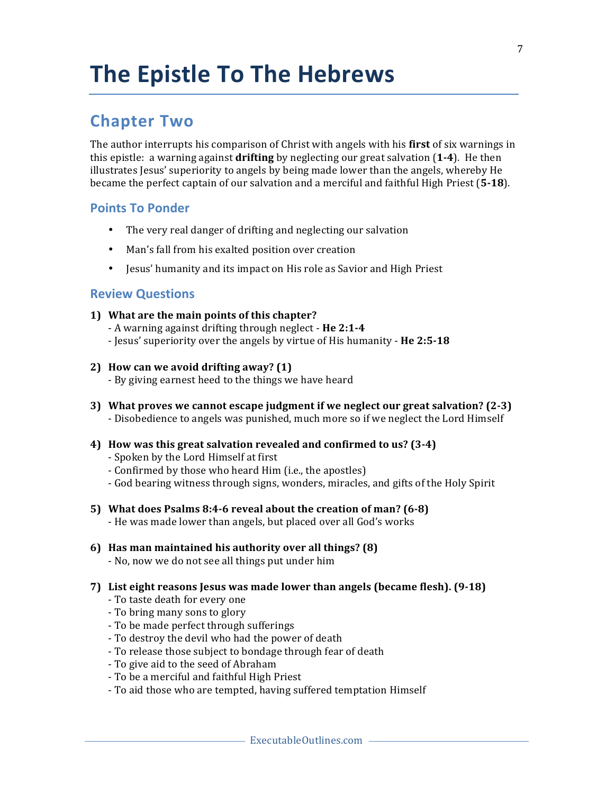## **Chapter Two**

The author interrupts his comparison of Christ with angels with his **first** of six warnings in this epistle: a warning against **drifting** by neglecting our great salvation  $(1-4)$ . He then illustrates Jesus' superiority to angels by being made lower than the angels, whereby He became the perfect captain of our salvation and a merciful and faithful High Priest (5-18).

## **Points To Ponder**

- The very real danger of drifting and neglecting our salvation
- Man's fall from his exalted position over creation
- Jesus' humanity and its impact on His role as Savior and High Priest

- **1)** What are the main points of this chapter?
	- A warning against drifting through neglect **He 2:1-4**
	- Jesus' superiority over the angels by virtue of His humanity **He 2:5-18**
- **2) How can we avoid drifting away? (1)**
	- By giving earnest heed to the things we have heard
- **3)** What proves we cannot escape judgment if we neglect our great salvation? (2-3) - Disobedience to angels was punished, much more so if we neglect the Lord Himself
- **4)** How was this great salvation revealed and confirmed to us? (3-4)
	- Spoken by the Lord Himself at first
	- Confirmed by those who heard Him (i.e., the apostles)
	- God bearing witness through signs, wonders, miracles, and gifts of the Holy Spirit
- **5)** What does Psalms 8:4-6 reveal about the creation of man? (6-8)
	- He was made lower than angels, but placed over all God's works
- **6)** Has man maintained his authority over all things? (8)
	- No, now we do not see all things put under him
- **7) List eight reasons Jesus was made lower than angels (became flesh). (9-18)**
	- To taste death for every one
	- To bring many sons to glory
	- To be made perfect through sufferings
	- To destroy the devil who had the power of death
	- To release those subject to bondage through fear of death
	- To give aid to the seed of Abraham
	- To be a merciful and faithful High Priest
	- To aid those who are tempted, having suffered temptation Himself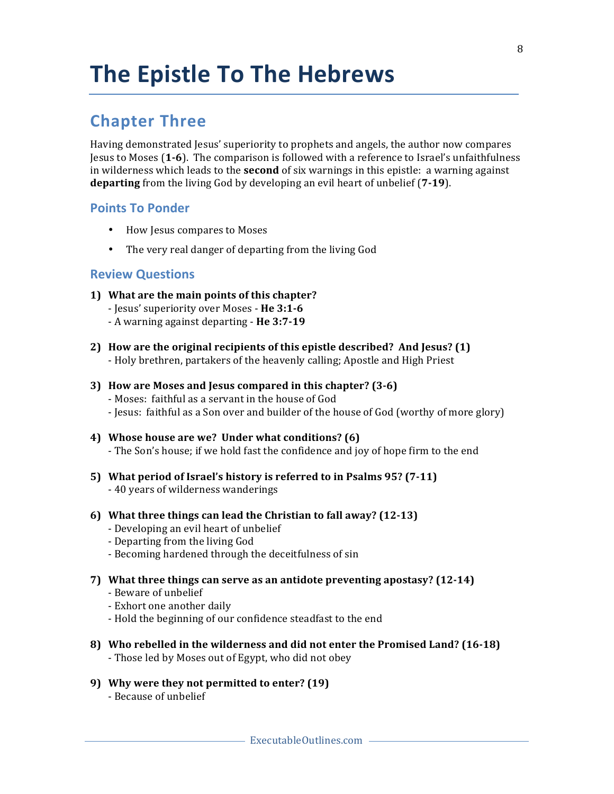## **Chapter Three**

Having demonstrated Jesus' superiority to prophets and angels, the author now compares **Jesus to Moses (1-6).** The comparison is followed with a reference to Israel's unfaithfulness in wilderness which leads to the **second** of six warnings in this epistle: a warning against **departing** from the living God by developing an evil heart of unbelief (7-19).

## **Points To Ponder**

- How Jesus compares to Moses
- The very real danger of departing from the living God

## **Review Questions**

- **1)** What are the main points of this chapter?
	- Jesus' superiority over Moses - **He 3:1-6**
	- A warning against departing **He 3:7-19**
- **2)** How are the original recipients of this epistle described? And Jesus? (1) - Holy brethren, partakers of the heavenly calling; Apostle and High Priest

## **3) How are Moses and Jesus compared in this chapter? (3-6)**

- Moses: faithful as a servant in the house of God
- Jesus: faithful as a Son over and builder of the house of God (worthy of more glory)

## 4) Whose house are we? Under what conditions? (6) - The Son's house; if we hold fast the confidence and joy of hope firm to the end

- **5)** What period of Israel's history is referred to in Psalms 95? (7-11) - 40 years of wilderness wanderings
- **6)** What three things can lead the Christian to fall away? (12-13)
	- Developing an evil heart of unbelief
	- Departing from the living God
	- Becoming hardened through the deceitfulness of sin
- **7)** What three things can serve as an antidote preventing apostasy? (12-14)
	- Beware of unbelief
	- Exhort one another daily
	- Hold the beginning of our confidence steadfast to the end
- **8)** Who rebelled in the wilderness and did not enter the Promised Land? (16-18) - Those led by Moses out of Egypt, who did not obey
- 9) Why were they not permitted to enter? (19)
	- Because of unbelief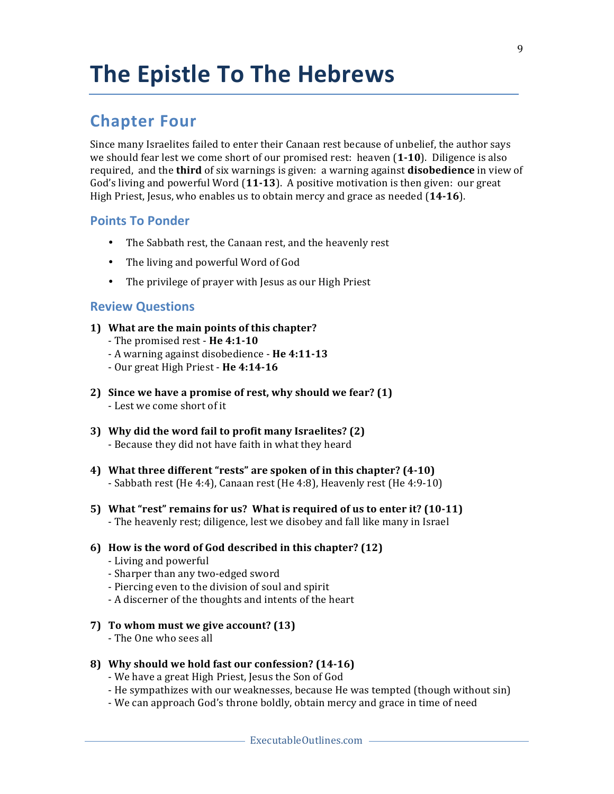## **Chapter Four**

Since many Israelites failed to enter their Canaan rest because of unbelief, the author says we should fear lest we come short of our promised rest: heaven  $(1-10)$ . Diligence is also required, and the **third** of six warnings is given: a warning against **disobedience** in view of God's living and powerful Word (11-13). A positive motivation is then given: our great High Priest, Jesus, who enables us to obtain mercy and grace as needed (14-16).

## **Points To Ponder**

- The Sabbath rest, the Canaan rest, and the heavenly rest
- The living and powerful Word of God
- The privilege of prayer with Jesus as our High Priest

## **Review Questions**

#### **1)** What are the main points of this chapter?

- The promised rest He 4:1-10
- A warning against disobedience - **He 4:11-13**
- Our great High Priest He 4:14-16
- **2)** Since we have a promise of rest, why should we fear? (1) - Lest we come short of it
- **3)** Why did the word fail to profit many Israelites? (2) - Because they did not have faith in what they heard
- 4) What three different "rests" are spoken of in this chapter? (4-10) - Sabbath rest (He 4:4), Canaan rest (He 4:8), Heavenly rest (He 4:9-10)
- **5)** What "rest" remains for us? What is required of us to enter it? (10-11) - The heavenly rest; diligence, lest we disobey and fall like many in Israel

#### **6)** How is the word of God described in this chapter? (12)

- Living and powerful
- Sharper than any two-edged sword
- Piercing even to the division of soul and spirit
- A discerner of the thoughts and intents of the heart
- **7) To whom must we give account? (13)**
	- The One who sees all

#### **8) Why should we hold fast our confession? (14-16)**

- We have a great High Priest, Jesus the Son of God
- He sympathizes with our weaknesses, because He was tempted (though without sin)
- We can approach God's throne boldly, obtain mercy and grace in time of need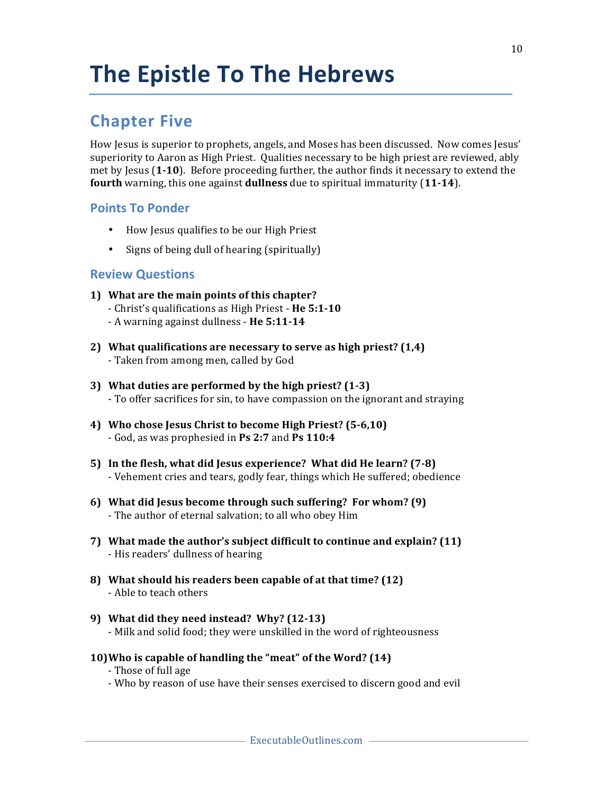## **Chapter Five**

How Jesus is superior to prophets, angels, and Moses has been discussed. Now comes Jesus' superiority to Aaron as High Priest. Qualities necessary to be high priest are reviewed, ably met by Jesus (1-10). Before proceeding further, the author finds it necessary to extend the **fourth** warning, this one against **dullness** due to spiritual immaturity (11-14).

## **Points To Ponder**

- How Jesus qualifies to be our High Priest
- Signs of being dull of hearing (spiritually)

- **1)** What are the main points of this chapter? - Christ's qualifications as High Priest - He 5:1-10
	- A warning against dullness He 5:11-14
- 2) What qualifications are necessary to serve as high priest? (1,4) - Taken from among men, called by God
- **3)** What duties are performed by the high priest? (1-3) - To offer sacrifices for sin, to have compassion on the ignorant and straying
- 4) Who chose Jesus Christ to become High Priest? (5-6,10) - God, as was prophesied in **Ps 2:7** and **Ps 110:4**
- **5)** In the flesh, what did Jesus experience? What did He learn? (7-8) - Vehement cries and tears, godly fear, things which He suffered; obedience
- **6)** What did Jesus become through such suffering? For whom? (9) - The author of eternal salvation; to all who obey Him
- **7)** What made the author's subject difficult to continue and explain? (11) - His readers' dullness of hearing
- **8)** What should his readers been capable of at that time? (12) - Able to teach others
- **9) What did they need instead? Why? (12-13)** - Milk and solid food; they were unskilled in the word of righteousness
- **10)** Who is capable of handling the "meat" of the Word? (14)
	- Those of full age
	- Who by reason of use have their senses exercised to discern good and evil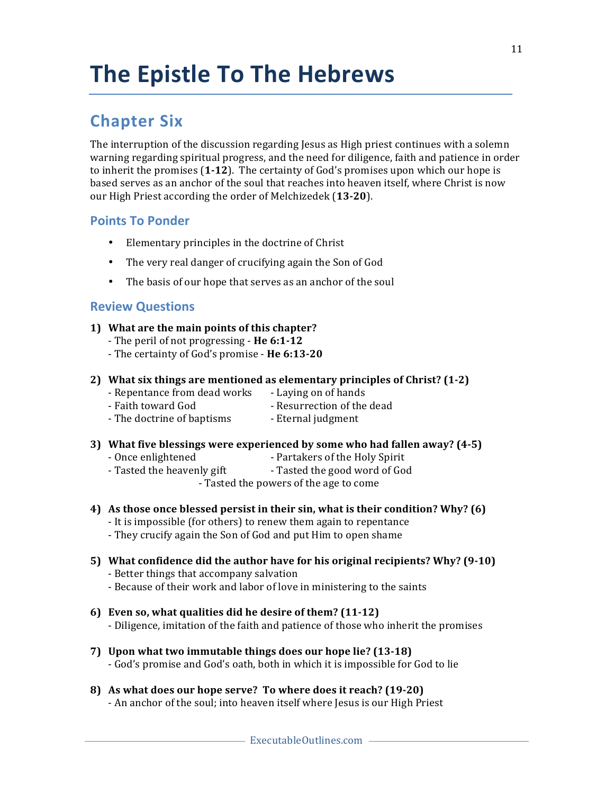## **Chapter Six**

The interruption of the discussion regarding Jesus as High priest continues with a solemn warning regarding spiritual progress, and the need for diligence, faith and patience in order to inherit the promises  $(1-12)$ . The certainty of God's promises upon which our hope is based serves as an anchor of the soul that reaches into heaven itself, where Christ is now our High Priest according the order of Melchizedek (13-20).

## **Points To Ponder**

- Elementary principles in the doctrine of Christ
- The very real danger of crucifying again the Son of God
- The basis of our hope that serves as an anchor of the soul

## **Review Questions**

#### **1)** What are the main points of this chapter?

- The peril of not progressing He 6:1-12
- The certainty of God's promise **He 6:13-20**
- 2) What six things are mentioned as elementary principles of Christ? (1-2)
	- Repentance from dead works Laying on of hands
	- Faith toward God  **Resurrection** of the dead
	- The doctrine of baptisms Eternal judgment

#### **3)** What five blessings were experienced by some who had fallen away? (4-5)

- Once enlightened Partakers of the Holy Spirit
- Tasted the heavenly gift Tasted the good word of God

- Tasted the powers of the age to come

## **4)** As those once blessed persist in their sin, what is their condition? Why? (6)

- It is impossible (for others) to renew them again to repentance
- They crucify again the Son of God and put Him to open shame

## **5)** What confidence did the author have for his original recipients? Why? (9-10)

- Better things that accompany salvation
- Because of their work and labor of love in ministering to the saints
- **6) Even so, what qualities did he desire of them? (11-12)**
	- Diligence, imitation of the faith and patience of those who inherit the promises
- **7)** Upon what two immutable things does our hope lie? (13-18) - God's promise and God's oath, both in which it is impossible for God to lie
- **8)** As what does our hope serve? To where does it reach? (19-20)

- An anchor of the soul; into heaven itself where Jesus is our High Priest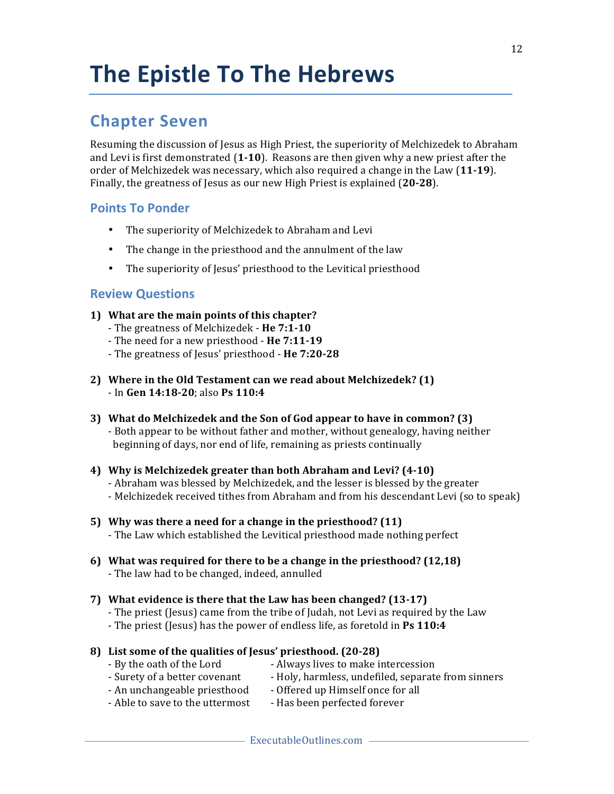## **Chapter Seven**

Resuming the discussion of Jesus as High Priest, the superiority of Melchizedek to Abraham and Levi is first demonstrated (1-10). Reasons are then given why a new priest after the order of Melchizedek was necessary, which also required a change in the Law (11-19). Finally, the greatness of Jesus as our new High Priest is explained (20-28).

## **Points To Ponder**

- The superiority of Melchizedek to Abraham and Levi
- The change in the priesthood and the annulment of the law
- The superiority of Jesus' priesthood to the Levitical priesthood

## **Review Questions**

- **1)** What are the main points of this chapter?
	- The greatness of Melchizedek **He 7:1-10**
	- The need for a new priesthood He 7:11-19
	- The greatness of Jesus' priesthood **He 7:20-28**
- 2) Where in the Old Testament can we read about Melchizedek? (1) - In **Gen 14:18-20**; also **Ps 110:4**
- **3)** What do Melchizedek and the Son of God appear to have in common? (3) - Both appear to be without father and mother, without genealogy, having neither beginning of days, nor end of life, remaining as priests continually
- **4) Why is Melchizedek greater than both Abraham and Levi? (4-10)** - Abraham was blessed by Melchizedek, and the lesser is blessed by the greater - Melchizedek received tithes from Abraham and from his descendant Levi (so to speak)
- **5)** Why was there a need for a change in the priesthood? (11) - The Law which established the Levitical priesthood made nothing perfect
- **6)** What was required for there to be a change in the priesthood? (12,18) - The law had to be changed, indeed, annulled

#### **7)** What evidence is there that the Law has been changed? (13-17)

- The priest (Jesus) came from the tribe of Judah, not Levi as required by the Law
- The priest (Jesus) has the power of endless life, as foretold in Ps 110:4

#### **8) List some of the qualities of Jesus' priesthood. (20-28)**

- By the oath of the Lord **-** Always lives to make intercession
- Surety of a better covenant Holy, harmless, undefiled, separate from sinners
- An unchangeable priesthood Offered up Himself once for all
- Able to save to the uttermost Has been perfected forever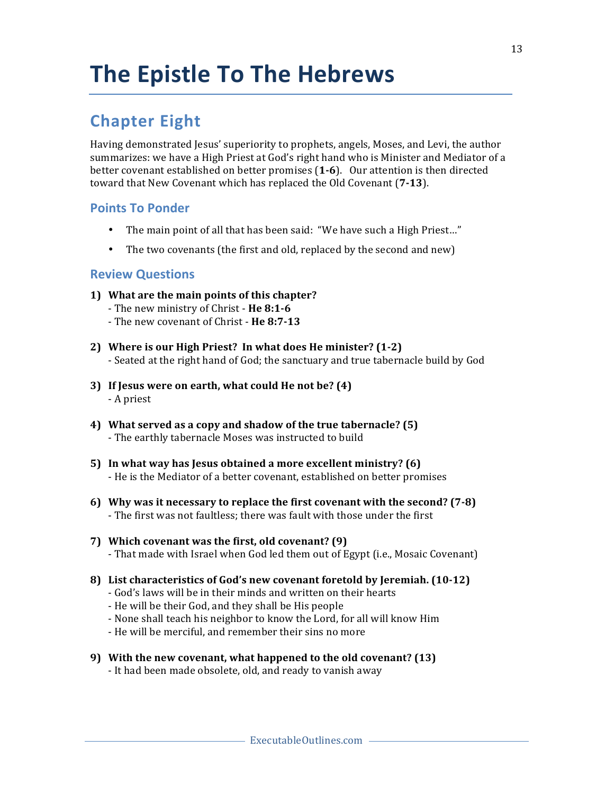## **Chapter Eight**

Having demonstrated Jesus' superiority to prophets, angels, Moses, and Levi, the author summarizes: we have a High Priest at God's right hand who is Minister and Mediator of a better covenant established on better promises (1-6). Our attention is then directed toward that New Covenant which has replaced the Old Covenant (7-13).

## **Points To Ponder**

- The main point of all that has been said: "We have such a High Priest..."
- The two covenants (the first and old, replaced by the second and new)

- **1)** What are the main points of this chapter?
	- The new ministry of Christ He 8:1-6
	- The new covenant of Christ He 8:7-13
- 2) Where is our High Priest? In what does He minister? (1-2) - Seated at the right hand of God; the sanctuary and true tabernacle build by God
- **3)** If Jesus were on earth, what could He not be? (4) - A priest
- 4) What served as a copy and shadow of the true tabernacle? (5) - The earthly tabernacle Moses was instructed to build
- **5)** In what way has Jesus obtained a more excellent ministry? (6) - He is the Mediator of a better covenant, established on better promises
- **6)** Why was it necessary to replace the first covenant with the second? (7-8) - The first was not faultless; there was fault with those under the first
- **7) Which covenant was the first, old covenant? (9)** - That made with Israel when God led them out of Egypt (i.e., Mosaic Covenant)
- **8)** List characteristics of God's new covenant foretold by Jeremiah. (10-12)
	- God's laws will be in their minds and written on their hearts
	- He will be their God, and they shall be His people
	- None shall teach his neighbor to know the Lord, for all will know Him
	- He will be merciful, and remember their sins no more
- **9)** With the new covenant, what happened to the old covenant? (13)
	- It had been made obsolete, old, and ready to vanish away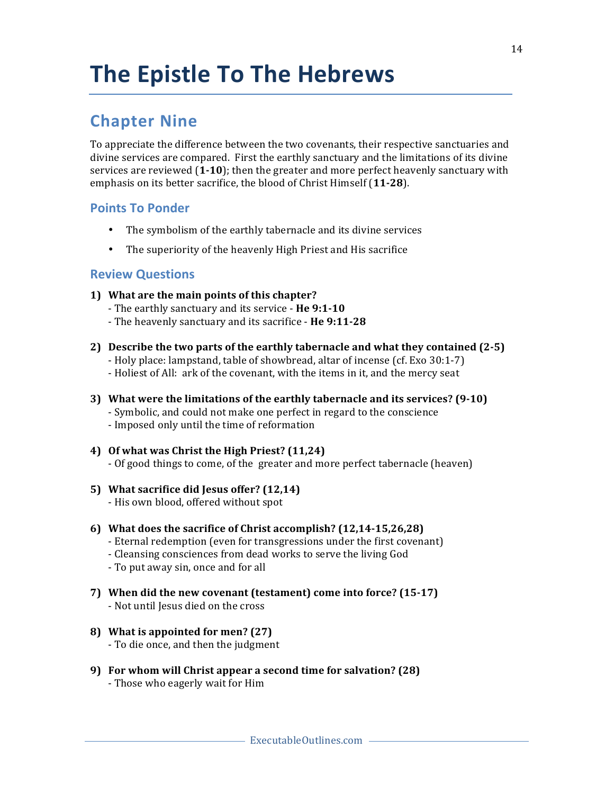## **Chapter Nine**

To appreciate the difference between the two covenants, their respective sanctuaries and divine services are compared. First the earthly sanctuary and the limitations of its divine services are reviewed  $(1-10)$ ; then the greater and more perfect heavenly sanctuary with emphasis on its better sacrifice, the blood of Christ Himself (11-28).

## **Points To Ponder**

- The symbolism of the earthly tabernacle and its divine services
- The superiority of the heavenly High Priest and His sacrifice

- **1)** What are the main points of this chapter?
	- The earthly sanctuary and its service He 9:1-10
	- The heavenly sanctuary and its sacrifice He 9:11-28
- **2)** Describe the two parts of the earthly tabernacle and what they contained (2-5)
	- Holy place: lampstand, table of showbread, altar of incense (cf. Exo 30:1-7)
	- Holiest of All: ark of the covenant, with the items in it, and the mercy seat
- **3)** What were the limitations of the earthly tabernacle and its services? (9-10) - Symbolic, and could not make one perfect in regard to the conscience - Imposed only until the time of reformation
- 4) Of what was Christ the High Priest? (11,24) - Of good things to come, of the greater and more perfect tabernacle (heaven)
- **5) What sacrifice did Jesus offer? (12,14)** - His own blood, offered without spot
- **6)** What does the sacrifice of Christ accomplish? (12,14-15,26,28)
	- Eternal redemption (even for transgressions under the first covenant)
	- Cleansing consciences from dead works to serve the living God
	- To put away sin, once and for all
- **7)** When did the new covenant (testament) come into force? (15-17)
	- Not until Jesus died on the cross
- **8)** What is appointed for men? (27)
	- To die once, and then the judgment
- **9)** For whom will Christ appear a second time for salvation? (28) - Those who eagerly wait for Him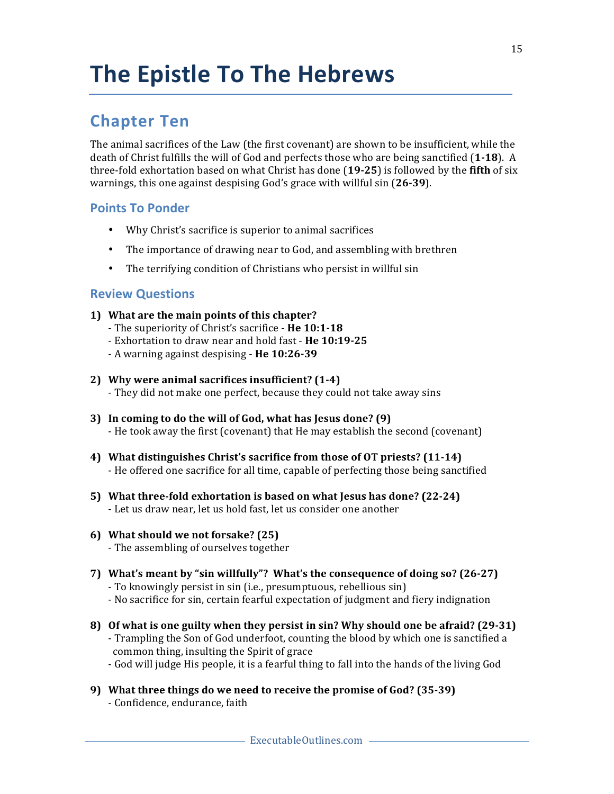## **Chapter Ten**

The animal sacrifices of the Law (the first covenant) are shown to be insufficient, while the death of Christ fulfills the will of God and perfects those who are being sanctified (1-18). A three-fold exhortation based on what Christ has done (19-25) is followed by the fifth of six warnings, this one against despising God's grace with willful sin (26-39).

## **Points To Ponder**

- Why Christ's sacrifice is superior to animal sacrifices
- The importance of drawing near to God, and assembling with brethren
- The terrifying condition of Christians who persist in willful sin

- **1)** What are the main points of this chapter?
	- The superiority of Christ's sacrifice **He 10:1-18**
	- Exhortation to draw near and hold fast - **He 10:19-25**
	- A warning against despising - **He 10:26-39**
- 2) Why were animal sacrifices insufficient? (1-4) - They did not make one perfect, because they could not take away sins
- **3)** In coming to do the will of God, what has Jesus done? (9) - He took away the first (covenant) that He may establish the second (covenant)
- **4) What distinguishes Christ's sacrifice from those of OT priests? (11-14)** - He offered one sacrifice for all time, capable of perfecting those being sanctified
- **5)** What three-fold exhortation is based on what Jesus has done? (22-24) - Let us draw near, let us hold fast, let us consider one another
- **6) What should we not forsake? (25)** - The assembling of ourselves together
- **7)** What's meant by "sin willfully"? What's the consequence of doing so? (26-27) - To knowingly persist in sin (i.e., presumptuous, rebellious sin)
	- No sacrifice for sin, certain fearful expectation of judgment and fiery indignation
- **8)** Of what is one guilty when they persist in sin? Why should one be afraid? (29-31) - Trampling the Son of God underfoot, counting the blood by which one is sanctified a common thing, insulting the Spirit of grace
	- God will judge His people, it is a fearful thing to fall into the hands of the living God
- **9)** What three things do we need to receive the promise of God? (35-39) - Confidence, endurance, faith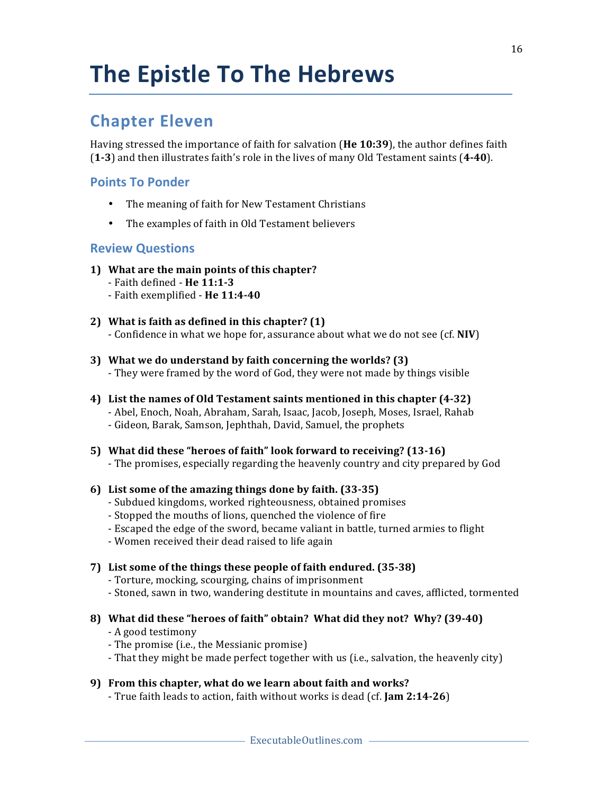## **Chapter Eleven**

Having stressed the importance of faith for salvation (He 10:39), the author defines faith (**1-3**) and then illustrates faith's role in the lives of many Old Testament saints (**4-40**).

## **Points To Ponder**

- The meaning of faith for New Testament Christians
- The examples of faith in Old Testament believers

## **Review Questions**

- **1)** What are the main points of this chapter?
	- Faith defined - **He 11:1-3**
	- Faith exemplified - **He 11:4-40**
- **2)** What is faith as defined in this chapter? (1)
	- Confidence in what we hope for, assurance about what we do not see (cf. NIV)
- **3)** What we do understand by faith concerning the worlds? (3)
	- They were framed by the word of God, they were not made by things visible
- **4)** List the names of Old Testament saints mentioned in this chapter (4-32) - Abel, Enoch, Noah, Abraham, Sarah, Isaac, Jacob, Joseph, Moses, Israel, Rahab - Gideon, Barak, Samson, Jephthah, David, Samuel, the prophets

#### **5)** What did these "heroes of faith" look forward to receiving? (13-16)

- The promises, especially regarding the heavenly country and city prepared by God
- **6)** List some of the amazing things done by faith. (33-35)
	- Subdued kingdoms, worked righteousness, obtained promises
	- Stopped the mouths of lions, quenched the violence of fire
	- Escaped the edge of the sword, became valiant in battle, turned armies to flight
	- Women received their dead raised to life again

## 7) List some of the things these people of faith endured. (35-38)

- Torture, mocking, scourging, chains of imprisonment
- Stoned, sawn in two, wandering destitute in mountains and caves, afflicted, tormented
- **8)** What did these "heroes of faith" obtain? What did they not? Why? (39-40)
	- A good testimony
	- The promise (i.e., the Messianic promise)
	- That they might be made perfect together with us (i.e., salvation, the heavenly city)

## **9)** From this chapter, what do we learn about faith and works?

- True faith leads to action, faith without works is dead (cf. **Jam 2:14-26**)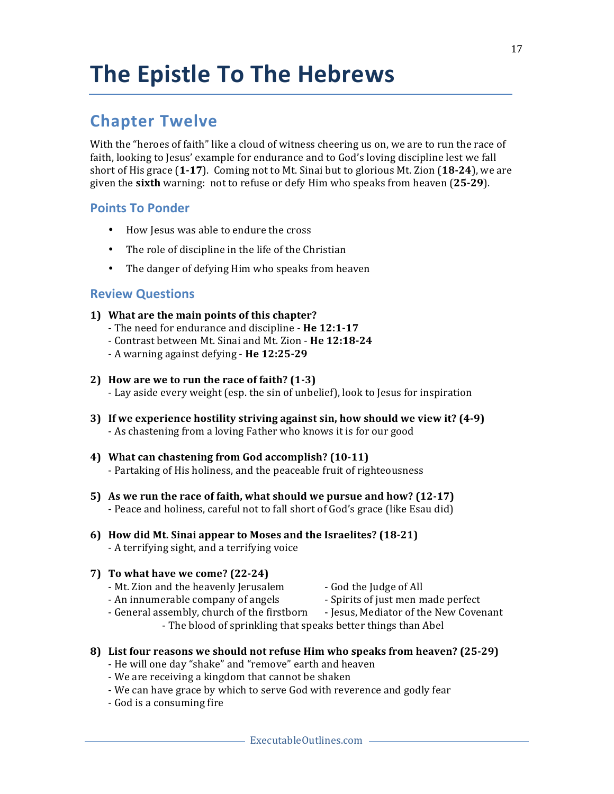## **Chapter Twelve**

With the "heroes of faith" like a cloud of witness cheering us on, we are to run the race of faith, looking to Jesus' example for endurance and to God's loving discipline lest we fall short of His grace (1-17). Coming not to Mt. Sinai but to glorious Mt. Zion (18-24), we are given the **sixth** warning: not to refuse or defy Him who speaks from heaven (25-29).

## **Points To Ponder**

- How Jesus was able to endure the cross
- The role of discipline in the life of the Christian
- The danger of defying Him who speaks from heaven

- **1)** What are the main points of this chapter?
	- The need for endurance and discipline **He 12:1-17**
	- Contrast between Mt. Sinai and Mt. Zion - **He 12:18-24**
	- A warning against defying **He 12:25-29**
- **2)** How are we to run the race of faith? (1-3)
	- Lay aside every weight (esp. the sin of unbelief), look to Jesus for inspiration
- **3)** If we experience hostility striving against sin, how should we view it? (4-9) - As chastening from a loving Father who knows it is for our good
- 4) What can chastening from God accomplish? (10-11) - Partaking of His holiness, and the peaceable fruit of righteousness
- **5)** As we run the race of faith, what should we pursue and how? (12-17) - Peace and holiness, careful not to fall short of God's grace (like Esau did)
- **6) How did Mt. Sinai appear to Moses and the Israelites? (18-21)** - A terrifying sight, and a terrifying voice
- **7)** To what have we come? (22-24)
	- Mt. Zion and the heavenly Jerusalem God the Judge of All
- - An innumerable company of angels Spirits of just men made perfect
- - General assembly, church of the firstborn Jesus, Mediator of the New Covenant - The blood of sprinkling that speaks better things than Abel
- **8)** List four reasons we should not refuse Him who speaks from heaven? (25-29)
	- He will one day "shake" and "remove" earth and heaven
	- We are receiving a kingdom that cannot be shaken
	- We can have grace by which to serve God with reverence and godly fear
	- God is a consuming fire